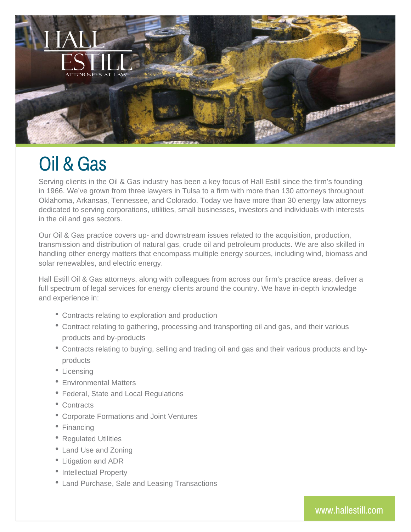

## Oil & Gas

Serving clients in the Oil & Gas industry has been a key focus of Hall Estill since the firm's founding in 1966. We've grown from three lawyers in Tulsa to a firm with more than 130 attorneys throughout Oklahoma, Arkansas, Tennessee, and Colorado. Today we have more than 30 energy law attorneys dedicated to serving corporations, utilities, small businesses, investors and individuals with interests in the oil and gas sectors.

Our Oil & Gas practice covers up- and downstream issues related to the acquisition, production, transmission and distribution of natural gas, crude oil and petroleum products. We are also skilled in handling other energy matters that encompass multiple energy sources, including wind, biomass and solar renewables, and electric energy.

Hall Estill Oil & Gas attorneys, along with colleagues from across our firm's practice areas, deliver a full spectrum of legal services for energy clients around the country. We have in-depth knowledge and experience in:

- Contracts relating to exploration and production
- Contract relating to gathering, processing and transporting oil and gas, and their various products and by-products
- Contracts relating to buying, selling and trading oil and gas and their various products and byproducts
- Licensing
- Environmental Matters
- Federal, State and Local Regulations
- Contracts
- Corporate Formations and Joint Ventures
- Financing
- Regulated Utilities
- Land Use and Zoning
- Litigation and ADR
- Intellectual Property
- Land Purchase, Sale and Leasing Transactions